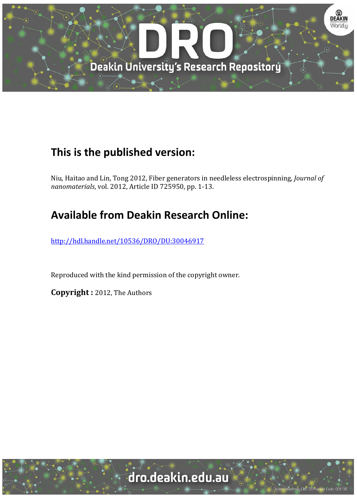

## **This is the published version:**

Niu, Haitao and Lin, Tong 2012, Fiber generators in needleless electrospinning, *Journal of nanomaterials*, vol. 2012, Article ID 725950, pp. 1-13.

# **Available from Deakin Research Online:**

http://hdl.handle.net/10536/DRO/DU:30046917

Reproduced with the kind permission of the copyright owner.

**Copyright** : 2012, The Authors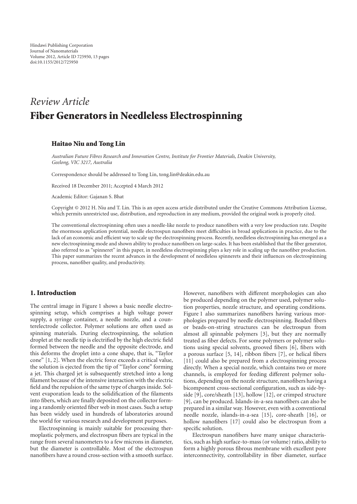## *Review Article* **Fiber Generators in Needleless Electrospinning**

## **Haitao Niu and Tong Lin**

*Australian Future Fibres Research and Innovation Centre, Institute for Frontier Materials, Deakin University, Geelong, VIC 3217, Australia*

Correspondence should be addressed to Tong Lin, tong.lin@deakin.edu.au

Received 18 December 2011; Accepted 4 March 2012

Academic Editor: Gajanan S. Bhat

Copyright © 2012 H. Niu and T. Lin. This is an open access article distributed under the Creative Commons Attribution License, which permits unrestricted use, distribution, and reproduction in any medium, provided the original work is properly cited.

The conventional electrospinning often uses a needle-like nozzle to produce nanofibers with a very low production rate. Despite the enormous application potential, needle electrospun nanofibers meet difficulties in broad applications in practice, due to the lack of an economic and efficient way to scale up the electrospinning process. Recently, needleless electrospinning has emerged as a new electrospinning mode and shown ability to produce nanofibers on large-scales. It has been established that the fiber generator, also referred to as "spinneret" in this paper, in needleless electrospinning plays a key role in scaling up the nanofiber production. This paper summarizes the recent advances in the development of needleless spinnerets and their influences on electrospinning process, nanofiber quality, and productivity.

## **1. Introduction**

The central image in Figure 1 shows a basic needle electrospinning setup, which comprises a high voltage power supply, a syringe container, a needle nozzle, and a counterelectrode collector. Polymer solutions are often used as spinning materials. During electrospinning, the solution droplet at the needle tip is electrified by the high electric field formed between the needle and the opposite electrode, and this deforms the droplet into a cone shape, that is, "Taylor cone" [1, 2]. When the electric force exceeds a critical value, the solution is ejected from the tip of "Taylor cone" forming a jet. This charged jet is subsequently stretched into a long filament because of the intensive interaction with the electric field and the repulsion of the same type of charges inside. Solvent evaporation leads to the solidification of the filaments into fibers, which are finally deposited on the collector forming a randomly oriented fiber web in most cases. Such a setup has been widely used in hundreds of laboratories around the world for various research and development purposes.

Electrospinning is mainly suitable for processing thermoplastic polymers, and electrospun fibers are typical in the range from several nanometers to a few microns in diameter, but the diameter is controllable. Most of the electrospun nanofibers have a round cross-section with a smooth surface.

However, nanofibers with different morphologies can also be produced depending on the polymer used, polymer solution properties, nozzle structure, and operating conditions. Figure 1 also summarizes nanofibers having various morphologies prepared by needle electrospinning. Beaded fibers or beads-on-string structures can be electrospun from almost all spinnable polymers [3], but they are normally treated as fiber defects. For some polymers or polymer solutions using special solvents, grooved fibers [6], fibers with a porous surface [5, 14], ribbon fibers [7], or helical fibers [11] could also be prepared from a electrospinning process directly. When a special nozzle, which contains two or more channels, is employed for feeding different polymer solutions, depending on the nozzle structure, nanofibers having a bicomponent cross-sectional configuration, such as side-byside [9], core/sheath [13], hollow [12], or crimped structure [9], can be produced. Islands-in-a-sea nanofibers can also be prepared in a similar way. However, even with a conventional needle nozzle, islands-in-a-sea [15], core-sheath [16], or hollow nanofibers [17] could also be electrospun from a specific solution.

Electrospun nanofibers have many unique characteristics, such as high surface-to-mass (or volume) ratio, ability to form a highly porous fibrous membrane with excellent pore interconnectivity, controllability in fiber diameter, surface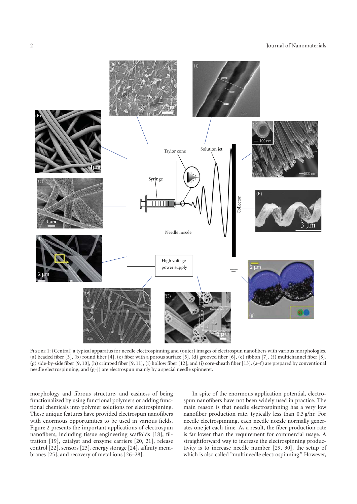

Figure 1: (Central) a typical apparatus for needle electrospinning and (outer) images of electrospun nanofibers with various morphologies, (a) beaded fiber  $[3]$ , (b) round fiber  $[4]$ , (c) fiber with a porous surface  $[5]$ , (d) grooved fiber  $[6]$ , (e) ribbon  $[7]$ , (f) multichannel fiber  $[8]$ , (g) side-by-side fiber [9, 10], (h) crimped fiber [9, 11], (i) hollow fiber [12], and (j) core-sheath fiber [13]. (a–f) are prepared by conventional needle electrospinning, and (g–j) are electrospun mainly by a special needle spinneret.

morphology and fibrous structure, and easiness of being functionalized by using functional polymers or adding functional chemicals into polymer solutions for electrospinning. These unique features have provided electrospun nanofibers with enormous opportunities to be used in various fields. Figure 2 presents the important applications of electrospun nanofibers, including tissue engineering scaffolds [18], filtration [19], catalyst and enzyme carriers [20, 21], release control [22], sensors [23], energy storage [24], affinity membranes [25], and recovery of metal ions [26–28].

In spite of the enormous application potential, electrospun nanofibers have not been widely used in practice. The main reason is that needle electrospinning has a very low nanofiber production rate, typically less than 0.3 g/hr. For needle electrospinning, each needle nozzle normally generates one jet each time. As a result, the fiber production rate is far lower than the requirement for commercial usage. A straightforward way to increase the electrospinning productivity is to increase needle number [29, 30], the setup of which is also called "multineedle electrospinning." However,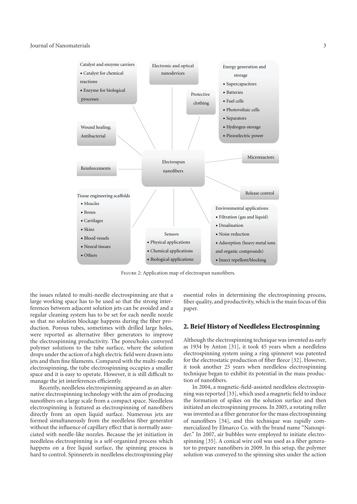

Figure 2: Application map of electrospun nanofibers.

the issues related to multi-needle electrospinning are that a large working space has to be used so that the strong interferences between adjacent solution jets can be avoided and a regular cleaning system has to be set for each needle nozzle so that no solution blockage happens during the fiber production. Porous tubes, sometimes with drilled large holes, were reported as alternative fiber generators to improve the electrospinning productivity. The pores/holes conveyed polymer solutions to the tube surface, where the solution drops under the action of a high electric field were drawn into jets and then fine filaments. Compared with the multi-needle electrospinning, the tube electrospinning occupies a smaller space and it is easy to operate. However, it is still difficult to manage the jet interferences efficiently.

Recently, needleless electrospinning appeared as an alternative electrospinning technology with the aim of producing nanofibers on a large scale from a compact space. Needleless electrospinning is featured as electrospinning of nanofibers directly from an open liquid surface. Numerous jets are formed simultaneously from the needleless fiber generator without the influence of capillary effect that is normally associated with needle-like nozzles. Because the jet initiation in needleless electrospinning is a self-organized process which happens on a free liquid surface, the spinning process is hard to control. Spinnerets in needleless electrospinning play

essential roles in determining the electrospinning process, fiber quality, and productivity, which is the main focus of this paper.

### **2. Brief History of Needleless Electrospinning**

Although the electrospinning technique was invented as early as 1934 by Anton [31], it took 45 years when a needleless electrospinning system using a ring spinneret was patented for the electrostatic production of fiber fleece [32]. However, it took another 25 years when needleless electrospinning technique began to exhibit its potential in the mass production of nanofibers.

In 2004, a magnetic-field-assisted needleless electrospinning was reported [33], which used a magnetic field to induce the formation of spikes on the solution surface and then initiated an electrospinning process. In 2005, a rotating roller was invented as a fiber generator for the mass electrospinning of nanofibers [34], and this technique was rapidly commercialized by Elmarco Co. with the brand name "Nanospider." In 2007, air bubbles were employed to initiate electrospinning [35]. A conical wire coil was used as a fiber generator to prepare nanofibers in 2009. In this setup, the polymer solution was conveyed to the spinning sites under the action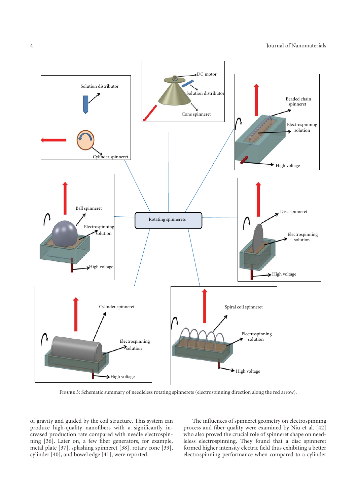

FIGURE 3: Schematic summary of needleless rotating spinnerets (electrospinning direction along the red arrow).

of gravity and guided by the coil structure. This system can produce high-quality nanofibers with a significantly increased production rate compared with needle electrospinning [36]. Later on, a few fiber generators, for example, metal plate [37], splashing spinneret [38], rotary cone [39], cylinder [40], and bowel edge [41], were reported.

The influences of spinneret geometry on electrospinning process and fiber quality were examined by Niu et al. [42] who also proved the crucial role of spinneret shape on needleless electrospinning. They found that a disc spinneret formed higher intensity electric field thus exhibiting a better electrospinning performance when compared to a cylinder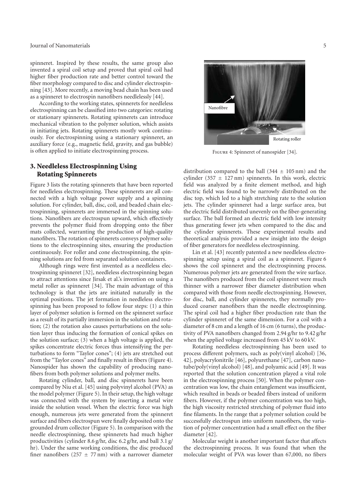spinneret. Inspired by these results, the same group also invented a spiral coil setup and proved that spiral coil had higher fiber production rate and better control toward the fiber morphology compared to disc and cylinder electrospinning [43]. More recently, a moving bead chain has been used as a spinneret to electrospin nanofibers needlelessly [44].

According to the working states, spinnerets for needleless electrospinning can be classified into two categories: rotating or stationary spinnerets. Rotating spinnerets can introduce mechanical vibration to the polymer solution, which assists in initiating jets. Rotating spinnerets mostly work continuously. For electrospinning using a stationary spinneret, an auxiliary force (e.g., magnetic field, gravity, and gas bubble) is often applied to initiate electrospinning process.

## **3. Needleless Electrospinning Using Rotating Spinnerets**

Figure 3 lists the rotating spinnerets that have been reported for needleless electrospinning. These spinnerets are all connected with a high voltage power supply and a spinning solution. For cylinder, ball, disc, coil, and beaded chain electrospinning, spinnerets are immersed in the spinning solutions. Nanofibers are electrospun upward, which effectively prevents the polymer fluid from dropping onto the fiber mats collected, warranting the production of high-quality nanofibers. The rotation of spinnerets conveys polymer solutions to the electrospinning sites, ensuring the production continuously. For roller and cone electrospinning, the spinning solutions are fed from separated solution containers.

Although rings were first invented as a needleless electrospinning spinneret [32], needleless electrospinning began to attract attentions since Jirsak et al.'s invention on using a metal roller as spinneret [34]. The main advantage of this technology is that the jets are initiated naturally in the optimal positions. The jet formation in needleless electrospinning has been proposed to follow four steps: (1) a thin layer of polymer solution is formed on the spinneret surface as a result of its partially immersion in the solution and rotation; (2) the rotation also causes perturbations on the solution layer thus inducing the formation of conical spikes on the solution surface; (3) when a high voltage is applied, the spikes concentrate electric forces thus intensifying the perturbations to form "Taylor cones"; (4) jets are stretched out from the "Taylor cones" and finally result in fibers (Figure 4). Nanospider has shown the capability of producing nanofibers from both polymer solutions and polymer melts.

Rotating cylinder, ball, and disc spinnerets have been compared by Niu et al. [45] using polyvinyl alcohol (PVA) as the model polymer (Figure 5). In their setup, the high voltage was connected with the system by inserting a metal wire inside the solution vessel. When the electric force was high enough, numerous jets were generated from the spinneret surface and fibers electrospun were finally deposited onto the grounded drum collector (Figure 5). In comparison with the needle electrospinning, these spinnerets had much higher productivities (cylinder 8.6 g/hr, disc 6.2 g/hr, and ball 3.1 g/ hr). Under the same working conditions, the disc produced finer nanofibers (257  $\pm$  77 nm) with a narrower diameter



Figure 4: Spinneret of nanospider [34].

distribution compared to the ball  $(344 \pm 105 \text{ nm})$  and the cylinder (357  $\pm$  127 nm) spinnerets. In this work, electric field was analyzed by a finite element method, and high electric field was found to be narrowly distributed on the disc top, which led to a high stretching rate to the solution jets. The cylinder spinneret had a large surface area, but the electric field distributed unevenly on the fiber-generating surface. The ball formed an electric field with low intensity thus generating fewer jets when compared to the disc and the cylinder spinnerets. These experimental results and theoretical analysis provided a new insight into the design of fiber generators for needleless electrospinning.

Lin et al. [43] recently patented a new needleless electrospinning setup using a spiral coil as a spinneret. Figure 6 shows the coil spinneret and the electrospinning process. Numerous polymer jets are generated from the wire surface. The nanofibers produced from the coil spinneret were much thinner with a narrower fiber diameter distribution when compared with those from needle electrospinning. However, for disc, ball, and cylinder spinnerets, they normally produced coarser nanofibers than the needle electrospinning. The spiral coil had a higher fiber production rate than the cylinder spinneret of the same dimension. For a coil with a diameter of 8 cm and a length of 16 cm (6 turns), the productivity of PVA nanofibers changed from 2.94 g/hr to 9.42 g/hr when the applied voltage increased from 45 kV to 60 kV.

Rotating needleless electrospinning has been used to process different polymers, such as poly(vinyl alcohol) [36, 42], polyacrylonitrile [46], polyurethane [47], carbon nanotube/poly(vinyl alcohol) [48], and polyamic acid [49]. It was reported that the solution concentration played a vital role in the electrospinning process [50]. When the polymer concentration was low, the chain entanglement was insufficient, which resulted in beads or beaded fibers instead of uniform fibers. However, if the polymer concentration was too high, the high viscosity restricted stretching of polymer fluid into fine filaments. In the range that a polymer solution could be successfully electrospun into uniform nanofibers, the variation of polymer concentration had a small effect on the fiber diameter [42].

Molecular weight is another important factor that affects the electrospinning process. It was found that when the molecular weight of PVA was lower than 67,000, no fibers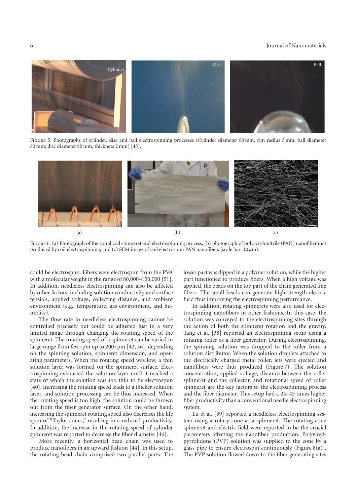

FIGURE 5: Photographs of cylinder, disc and ball electrospinning processes (Cylinder diameter 80 mm, rim radius 5 mm; ball diameter 80 mm; disc diameter 80 mm, thickness 2 mm) [45].



Figure 6: (a) Photograph of the spiral coil spinneret and electrospinning process, (b) photograph of polyacrylonitrile (PAN) nanofiber mat produced by coil electrospinning, and (c) SEM image of coil electrospun PAN nanofibers (scale bar: 10 *μ*m).

could be electrospun. Fibers were electrospun from the PVA with a molecular weight in the range of 80,000–150,000 [51]. In addition, needleless electrospinning can also be affected by other factors, including solution conductivity and surface tension, applied voltage, collecting distance, and ambient environment (e.g., temperature, gas environment, and humidity).

The flow rate in needleless electrospinning cannot be controlled precisely but could be adjusted just in a very limited range through changing the rotating speed of the spinneret. The rotating speed of a spinneret can be varied in large range from few rpm up to 200 rpm [42, 46], depending on the spinning solution, spinneret dimension, and operating parameters. When the rotating speed was low, a thin solution layer was formed on the spinneret surface. Electrospinning exhausted the solution layer until it reached a state of which the solution was too thin to be electrospun [40]. Increasing the rotating speed leads to a thicker solution layer, and solution processing can be thus increased. When the rotating speed is too high, the solution could be thrown out from the fiber generator surface. On the other hand, increasing the spinneret rotating speed also decreases the life span of "Taylor cones," resulting in a reduced productivity. In addition, the increase in the rotating speed of cylinder spinneret was reported to decrease the fiber diameter [46].

More recently, a horizontal bead chain was used to produce nanofibers in an upward fashion [44]. In this setup, the rotating bead chain comprised two parallel parts. The lower part was dipped in a polymer solution, while the higher part functioned to produce fibers. When a high voltage was applied, the beads on the top part of the chain generated fine fibers. The small beads can generate high strength electric field thus improving the electrospinning performance.

In addition, rotating spinnerets were also used for electrospinning nanofibers in other fashions. In this case, the solution was conveyed to the electrospinning sites through the action of both the spinneret rotation and the gravity. Tang et al. [38] reported an electrospinning setup using a rotating roller as a fiber generator. During electrospinning, the spinning solution was dropped to the roller from a solution distributor. When the solution droplets attached to the electrically charged metal roller, jets were ejected and nanofibers were thus produced (Figure 7). The solution concentration, applied voltage, distance between the roller spinneret and the collector, and rotational speed of roller spinneret are the key factors to the electrospinning process and the fiber diameter. This setup had a 24–45 times higher fiber productivity than a conventional needle electrospinning system.

Lu et al. [39] reported a needleless electrospinning system using a rotary cone as a spinneret. The rotating cone spinneret and electric field were reported to be the crucial parameters affecting the nanofiber production. Polyvinylpyrrolidone (PVP) solution was supplied to the cone by a glass pipe to ensure electrospin continuously (Figure 8(a)). The PVP solution flowed down to the fiber generating sites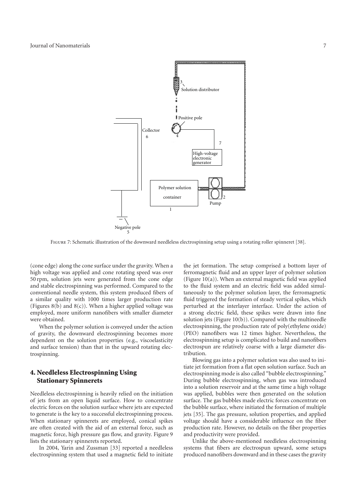

Figure 7: Schematic illustration of the downward needleless electrospinning setup using a rotating roller spinneret [38].

(cone edge) along the cone surface under the gravity. When a high voltage was applied and cone rotating speed was over 50 rpm, solution jets were generated from the cone edge and stable electrospinning was performed. Compared to the conventional needle system, this system produced fibers of a similar quality with 1000 times larger production rate (Figures  $8(b)$  and  $8(c)$ ). When a higher applied voltage was employed, more uniform nanofibers with smaller diameter were obtained.

When the polymer solution is conveyed under the action of gravity, the downward electrospinning becomes more dependent on the solution properties (e.g., viscoelasticity and surface tension) than that in the upward rotating electrospinning.

## **4. Needleless Electrospinning Using Stationary Spinnerets**

Needleless electrospinning is heavily relied on the initiation of jets from an open liquid surface. How to concentrate electric forces on the solution surface where jets are expected to generate is the key to a successful electrospinning process. When stationary spinnerets are employed, conical spikes are often created with the aid of an external force, such as magnetic force, high pressure gas flow, and gravity. Figure 9 lists the stationary spinnerets reported.

In 2004, Yarin and Zussman [33] reported a needleless electrospinning system that used a magnetic field to initiate

the jet formation. The setup comprised a bottom layer of ferromagnetic fluid and an upper layer of polymer solution (Figure  $10(a)$ ). When an external magnetic field was applied to the fluid system and an electric field was added simultaneously to the polymer solution layer, the ferromagnetic fluid triggered the formation of steady vertical spikes, which perturbed at the interlayer interface. Under the action of a strong electric field, these spikes were drawn into fine solution jets (Figure 10(b)). Compared with the multineedle electrospinning, the production rate of poly(ethylene oxide) (PEO) nanofibers was 12 times higher. Nevertheless, the electrospinning setup is complicated to build and nanofibers electrospun are relatively coarse with a large diameter distribution.

Blowing gas into a polymer solution was also used to initiate jet formation from a flat open solution surface. Such an electrospinning mode is also called "bubble electrospinning." During bubble electrospinning, when gas was introduced into a solution reservoir and at the same time a high voltage was applied, bubbles were then generated on the solution surface. The gas bubbles made electric forces concentrate on the bubble surface, where initiated the formation of multiple jets [35]. The gas pressure, solution properties, and applied voltage should have a considerable influence on the fiber production rate. However, no details on the fiber properties and productivity were provided.

Unlike the above-mentioned needleless electrospinning systems that fibers are electrospun upward, some setups produced nanofibers downward and in these cases the gravity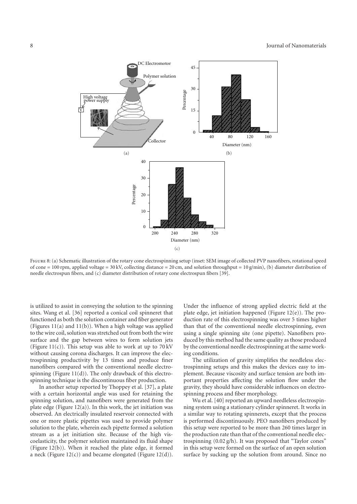

Figure 8: (a) Schematic illustration of the rotary cone electrospinning setup (inset: SEM image of collected PVP nanofibers, rotational speed of cone = 100 rpm, applied voltage = 30 kV, collecting distance = 20 cm, and solution throughput = 10 g/min), (b) diameter distribution of needle electrospun fibers, and (c) diameter distribution of rotary cone electrospun fibers [39].

is utilized to assist in conveying the solution to the spinning sites. Wang et al. [36] reported a conical coil spinneret that functioned as both the solution container and fiber generator (Figures 11(a) and 11(b)). When a high voltage was applied to the wire coil, solution was stretched out from both the wire surface and the gap between wires to form solution jets (Figure 11(c)). This setup was able to work at up to  $70 \text{ kV}$ without causing corona discharges. It can improve the electrospinning productivity by 13 times and produce finer nanofibers compared with the conventional needle electrospinning (Figure 11(d)). The only drawback of this electrospinning technique is the discontinuous fiber production.

In another setup reported by Thoppey et al. [37], a plate with a certain horizontal angle was used for retaining the spinning solution, and nanofibers were generated from the plate edge (Figure  $12(a)$ ). In this work, the jet initiation was observed. An electrically insulated reservoir connected with one or more plastic pipettes was used to provide polymer solution to the plate, wherein each pipette formed a solution stream as a jet initiation site. Because of the high viscoelasticity, the polymer solution maintained its fluid shape (Figure 12(b)). When it reached the plate edge, it formed a neck (Figure 12(c)) and became elongated (Figure 12(d)). Under the influence of strong applied electric field at the plate edge, jet initiation happened (Figure  $12(e)$ ). The production rate of this electrospinning was over 5 times higher than that of the conventional needle electrospinning, even using a single spinning site (one pipette). Nanofibers produced by this method had the same quality as those produced by the conventional needle electrospinning at the same working conditions.

The utilization of gravity simplifies the needleless electrospinning setups and this makes the devices easy to implement. Because viscosity and surface tension are both important properties affecting the solution flow under the gravity, they should have considerable influences on electrospinning process and fiber morphology.

Wu et al. [40] reported an upward needleless electrospinning system using a stationary cylinder spinneret. It works in a similar way to rotating spinnerets, except that the process is performed discontinuously. PEO nanofibers produced by this setup were reported to be more than 260 times larger in the production rate than that of the conventional needle electrospinning (0.02 g/h). It was proposed that "Taylor cones" in this setup were formed on the surface of an open solution surface by sucking up the solution from around. Since no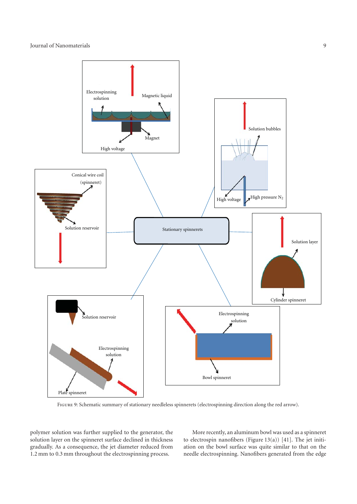

Figure 9: Schematic summary of stationary needleless spinnerets (electrospinning direction along the red arrow).

polymer solution was further supplied to the generator, the solution layer on the spinneret surface declined in thickness gradually. As a consequence, the jet diameter reduced from 1.2 mm to 0.3 mm throughout the electrospinning process.

More recently, an aluminum bowl was used as a spinneret to electrospin nanofibers (Figure 13(a)) [41]. The jet initiation on the bowl surface was quite similar to that on the needle electrospinning. Nanofibers generated from the edge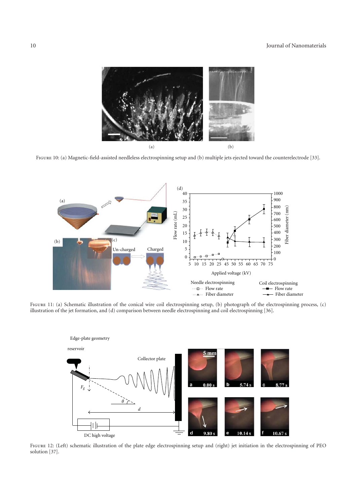

Figure 10: (a) Magnetic-field-assisted needleless electrospinning setup and (b) multiple jets ejected toward the counterelectrode [33].



Figure 11: (a) Schematic illustration of the conical wire coil electrospinning setup, (b) photograph of the electrospinning process, (c) illustration of the jet formation, and (d) comparison between needle electrospinning and coil electrospinning [36].



Figure 12: (Left) schematic illustration of the plate edge electrospinning setup and (right) jet initiation in the electrospinning of PEO solution [37].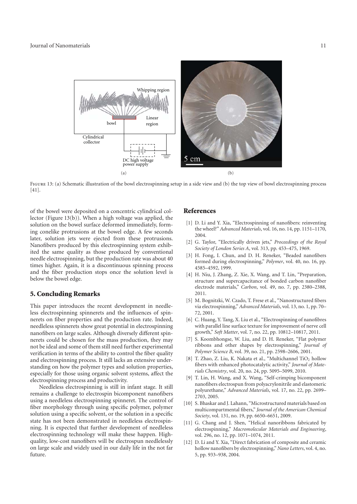

Figure 13: (a) Schematic illustration of the bowl electrospinning setup in a side view and (b) the top view of bowl electrospinning process [41].

of the bowel were deposited on a concentric cylindrical collector (Figure 13(b)). When a high voltage was applied, the solution on the bowel surface deformed immediately, forming conelike protrusions at the bowel edge. A few seconds later, solution jets were ejected from these protrusions. Nanofibers produced by this electrospinning system exhibited the same quality as those produced by conventional needle electrospinning, but the production rate was about 40 times higher. Again, it is a discontinuous spinning process and the fiber production stops once the solution level is below the bowel edge.

## **5. Concluding Remarks**

This paper introduces the recent development in needleless electrospinning spinnerets and the influences of spinnerets on fiber properties and the production rate. Indeed, needleless spinnerets show great potential in electrospinning nanofibers on large scales. Although diversely different spinnerets could be chosen for the mass production, they may not be ideal and some of them still need further experimental verification in terms of the ability to control the fiber quality and electrospinning process. It still lacks an extensive understanding on how the polymer types and solution properties, especially for those using organic solvent systems, affect the electrospinning process and productivity.

Needleless electrospinning is still in infant stage. It still remains a challenge to electrospin bicomponent nanofibers using a needleless electrospinning spinneret. The control of fiber morphology through using specific polymer, polymer solution using a specific solvent, or the solution in a specific state has not been demonstrated in needleless electrospinning. It is expected that further development of needleless electrospinning technology will make these happen. Highquality, low-cost nanofibers will be electrospun needlelessly on large scale and widely used in our daily life in the not far future.

### **References**

- [1] D. Li and Y. Xia, "Electrospinning of nanofibers: reinventing the wheel?" *Advanced Materials*, vol. 16, no. 14, pp. 1151–1170, 2004.
- [2] G. Taylor, "Electrically driven jets," *Proceedings of the Royal Society of London Series A*, vol. 313, pp. 453–475, 1969.
- [3] H. Fong, I. Chun, and D. H. Reneker, "Beaded nanofibers formed during electrospinning," *Polymer*, vol. 40, no. 16, pp. 4585–4592, 1999.
- [4] H. Niu, J. Zhang, Z. Xie, X. Wang, and T. Lin, "Preparation, structure and supercapacitance of bonded carbon nanofiber electrode materials," *Carbon*, vol. 49, no. 7, pp. 2380–2388, 2011.
- [5] M. Bognitzki, W. Czado, T. Frese et al., "Nanostructured fibers via electrospinning," *Advanced Materials*, vol. 13, no. 1, pp. 70– 72, 2001.
- [6] C. Huang, Y. Tang, X. Liu et al., "Electrospinning of nanofibres with parallel line surface texture for improvement of nerve cell growth," *Soft Matter*, vol. 7, no. 22, pp. 10812–10817, 2011.
- [7] S. Koombhongse, W. Liu, and D. H. Reneker, "Flat polymer ribbons and other shapes by electrospinning," *Journal of Polymer Science B*, vol. 39, no. 21, pp. 2598–2606, 2001.
- [8] T. Zhao, Z. Liu, K. Nakata et al., "Multichannel TiO<sub>2</sub> hollow fibers with enhanced photocatalytic activity," *Journal of Materials Chemistry*, vol. 20, no. 24, pp. 5095–5099, 2010.
- [9] T. Lin, H. Wang, and X. Wang, "Self-crimping bicomponent nanofibers electrospun from polyacrylonitrile and elastomeric polyurethane," *Advanced Materials*, vol. 17, no. 22, pp. 2699– 2703, 2005.
- [10] S. Bhaskar and J. Lahann, "Microstructured materials based on multicompartmental fibers," *Journal of the American Chemical Society*, vol. 131, no. 19, pp. 6650–6651, 2009.
- [11] G. Chang and J. Shen, "Helical nanoribbons fabricated by electrospinning," *Macromolecular Materials and Engineering*, vol. 296, no. 12, pp. 1071–1074, 2011.
- [12] D. Li and Y. Xia, "Direct fabrication of composite and ceramic hollow nanofibers by electrospinning," *Nano Letters*, vol. 4, no. 5, pp. 933–938, 2004.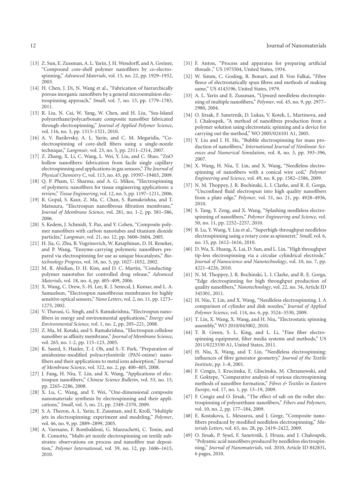- 12 Journal of Nanomaterials
- [13] Z. Sun, E. Zussman, A. L. Yarin, J. H. Wendorff, and A. Greiner, "Compound core-shell polymer nanofibers by co-electrospinning," *Advanced Materials*, vol. 15, no. 22, pp. 1929–1932, 2003.
- [14] H. Chen, J. Di, N. Wang et al., "Fabrication of hierarchically porous inorganic nanofibers by a general microemulsion electrospinning approach," *Small*, vol. 7, no. 13, pp. 1779–1783, 2011.
- [15] R. Liu, N. Cai, W. Yang, W. Chen, and H. Liu, "Sea-Island polyurethane/polycarbonate composite nanofiber fabricated through electrospinning," *Journal of Applied Polymer Science*, vol. 116, no. 3, pp. 1313–1321, 2010.
- [16] A. V. Bazilevsky, A. L. Yarin, and C. M. Megaridis, "Coelectrospinning of core-shell fibers using a single-nozzle technique," *Langmuir*, vol. 23, no. 5, pp. 2311–2314, 2007.
- [17] Z. Zhang, X. Li, C. Wang, L. Wei, Y. Liu, and C. Shao, "ZnO hollow nanofibers: fabrication from facile single capillary electrospinning and applications in gas sensors," *The Journal of Physical Chemistry C*, vol. 113, no. 45, pp. 19397–19403, 2009.
- [18] Q. P. Pham, U. Sharma, and A. G. Mikos, "Electrospinning of polymeric nanofibers for tissue engineering applications: a review," *Tissue Engineering*, vol. 12, no. 5, pp. 1197–1211, 2006.
- [19] R. Gopal, S. Kaur, Z. Ma, C. Chan, S. Ramakrishna, and T. Matsuura, "Electrospun nanofibrous filtration membrane," *Journal of Membrane Science*, vol. 281, no. 1-2, pp. 581–586, 2006.
- [20] S. Kedem, J. Schmidt, Y. Paz, and Y. Cohen, "Composite polymer nanofibers with carbon nanotubes and titanium dioxide particles," *Langmuir*, vol. 21, no. 12, pp. 5600–5604, 2005.
- [21] H. Jia, G. Zhu, B. Vugrinovich, W. Kataphinan, D. H. Reneker, and P. Wang, "Enzyme-carrying polymeric nanofibers prepared via electrospinning for use as unique biocatalysts," *Biotechnology Progress*, vol. 18, no. 5, pp. 1027–1032, 2002.
- [22] M. R. Abidian, D. H. Kim, and D. C. Martin, "Conductingpolymer nanotubes for controlled drug release," *Advanced Materials*, vol. 18, no. 4, pp. 405–409, 2006.
- [23] X. Wang, C. Drew, S.-H. Lee, K. J. Senecal, J. Kumar, and L. A. Samuelson, "Electrospun nanofibrous membranes for highly sensitive optical sensors," *Nano Letters*, vol. 2, no. 11, pp. 1273– 1275, 2002.
- [24] V. Thavasi, G. Singh, and S. Ramakrishna, "Electrospun nanofibers in energy and environmental applications," *Energy and Environmental Science*, vol. 1, no. 2, pp. 205–221, 2008.
- [25] Z. Ma, M. Kotaki, and S. Ramakrishna, "Electrospun cellulose nanofiber as affinity membrane," *Journal of Membrane Science*, vol. 265, no. 1-2, pp. 115–123, 2005.
- [26] K. Saeed, S. Haider, T.-J. Oh, and S.-Y. Park, "Preparation of amidoxime-modified polyacrylonitrile (PAN-oxime) nanofibers and their applications to metal ions adsorption," *Journal of Membrane Science*, vol. 322, no. 2, pp. 400–405, 2008.
- [27] J. Fang, H. Niu, T. Lin, and X. Wang, "Applications of electrospun nanofibers," *Chinese Science Bulletin*, vol. 53, no. 15, pp. 2265–2286, 2008.
- [28] X. Lu, C. Wang, and Y. Wei, "One-dimensional composite nanomaterials: synthesis by electrospinning and their applications," *Small*, vol. 5, no. 21, pp. 2349–2370, 2009.
- [29] S. A. Theron, A. L. Yarin, E. Zussman, and E. Kroll, "Multiple jets in electrospinning: experiment and modeling," *Polymer*, vol. 46, no. 9, pp. 2889–2899, 2005.
- [30] A. Varesano, F. Rombaldoni, G. Mazzuchetti, C. Tonin, and R. Comotto, "Multi-jet nozzle electrospinning on textile substrates: observations on process and nanofibre mat deposition," *Polymer International*, vol. 59, no. 12, pp. 1606–1615, 2010.
- [31] F. Anton, "Process and apparatus for preparing artificial threads ," US 1975504, United States, 1934.
- [32] W. Simm, C. Gosling, R. Bonart, and B. Von Falkai, "Fibre fleece of electrostatically spun fibres and methods of making same," US 4143196, United States, 1979.
- [33] A. L. Yarin and E. Zussman, "Upward needleless electrospinning of multiple nanofibers," *Polymer*, vol. 45, no. 9, pp. 2977– 2980, 2004.
- [34] O. Jirsak, F. Sanetrnik, D. Lukas, V. Kotek, L. Martinova, and J. Chaloupek, "A method of nanofibres production from a polymer solution using electrostatic spinning and a device for carrying out the method," WO 2005/024101 A1, 2005.
- [35] Y. Liu and J. H. He, "Bubble electrospinning for mass production of nanofibers," *International Journal of Nonlinear Sciences and Numerical Simulation*, vol. 8, no. 3, pp. 393–396, 2007.
- [36] X. Wang, H. Niu, T. Lin, and X. Wang, "Needleless electrospinning of nanofibers with a conical wire coil," *Polymer Engineering and Science*, vol. 49, no. 8, pp. 1582–1586, 2009.
- [37] N. M. Thoppey, J. R. Bochinski, L. I. Clarke, and R. E. Gorga, "Unconfined fluid electrospun into high quality nanofibers from a plate edge," *Polymer*, vol. 51, no. 21, pp. 4928–4936, 2010.
- [38] S. Tang, Y. Zeng, and X. Wang, "Splashing needleless electrospinning of nanofibers," *Polymer Engineering and Science*, vol. 50, no. 11, pp. 2252–2257, 2010.
- [39] B. Lu, Y. Wang, Y. Liu et al., "Superhigh-throughput needleless electrospinning using a rotary cone as spinneret," *Small*, vol. 6, no. 15, pp. 1612–1616, 2010.
- [40] D. Wu, X. Huang, X. Lai, D. Sun, and L. Lin, "High throughput tip-less electrospinning via a circular cylindrical electrode," *Journal of Nanoscience and Nanotechnology*, vol. 10, no. 7, pp. 4221–4226, 2010.
- [41] N. M. Thoppey, J. R. Bochinski, L. I. Clarke, and R. E. Gorga, "Edge electrospinning for high throughput production of quality nanofibers," *Nanotechnology*, vol. 22, no. 34, Article ID 345301, 2011.
- [42] H. Niu, T. Lin, and X. Wang, "Needleless electrospinning. I. A comparison of cylinder and disk nozzles," *Journal of Applied Polymer Science*, vol. 114, no. 6, pp. 3524–3530, 2009.
- [43] T. Lin, X. Wang, X. Wang, and H. Niu, "Electrostatic spinning assembly," WO 2010/043002, 2010.
- [44] T. B. Green, S. L. King, and L. Li, "Fine fiber electrospinning equipment, filter media systems and methods," US 2011/0223330 A1, United States, 2011.
- [45] H. Niu, X. Wang, and T. Lin, "Needleless electrospinning: influences of fibre generator geometry," *Journal of the Textile Institute*, pp. 1–8, 2001.
- [46] F. Cengiz, I. Krucinska, E. Gliscinska, M. Chrzanowski, and F. Goktepe, "Comparative analysis of various electrospinning methods of nanofibre formation," *Fibres & Textiles in Eastern Europe*, vol. 17, no. 1, pp. 13–19, 2009.
- [47] F. Cengiz and O. Jirsak, "The effect of salt on the roller electrospinning of polyurethane nanofibers," *Fibers and Polymers*, vol. 10, no. 2, pp. 177–184, 2009.
- [48] E. Kostakova, L. Meszaros, and J. Gregr, "Composite nanofibers produced by modified needleless electrospinning," *Materials Letters*, vol. 63, no. 28, pp. 2419–2422, 2009.
- [49] O. Jirsak, P. Sysel, F. Sanetrnik, J. Hruza, and J. Chaloupek, "Polyamic acid nanofibers produced by needleless electrospinning," *Journal of Nanomaterials*, vol. 2010, Article ID 842831, 6 pages, 2010.